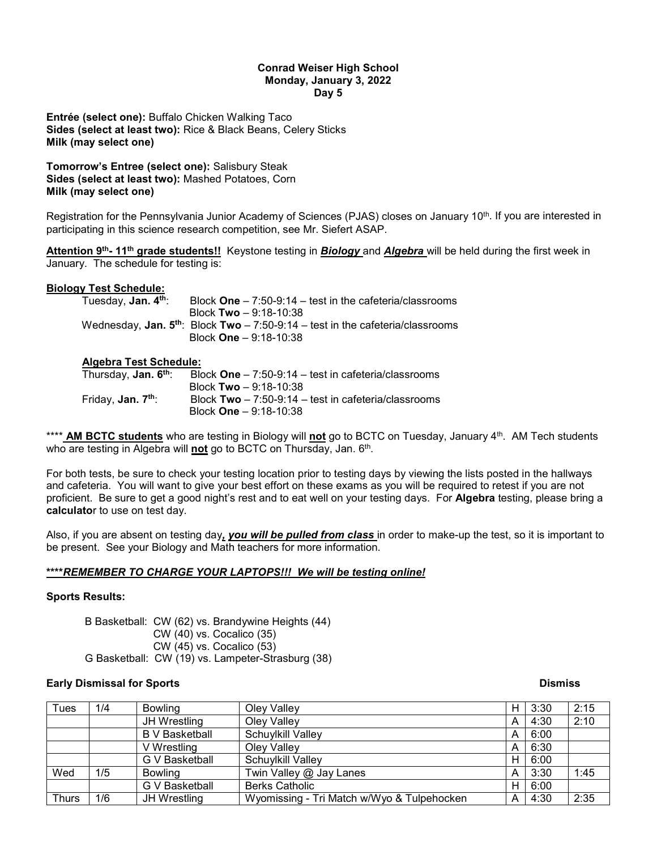#### **Conrad Weiser High School Monday, January 3, 2022 Day 5**

**Entrée (select one):** Buffalo Chicken Walking Taco **Sides (select at least two):** Rice & Black Beans, Celery Sticks **Milk (may select one)**

**Tomorrow's Entree (select one):** Salisbury Steak **Sides (select at least two):** Mashed Potatoes, Corn **Milk (may select one)**

Registration for the Pennsylvania Junior Academy of Sciences (PJAS) closes on January 10th. If you are interested in participating in this science research competition, see Mr. Siefert ASAP.

**Attention 9th- 11th grade students!!** Keystone testing in *Biology* and *Algebra* will be held during the first week in January. The schedule for testing is:

# **Biology Test Schedule:**

| Tuesday, <b>Jan. 4th</b> : | Block One $-7:50-9:14$ - test in the cafeteria/classrooms                            |
|----------------------------|--------------------------------------------------------------------------------------|
|                            | Block Two $-9:18-10:38$                                                              |
|                            | Wednesday, Jan. $5^{th}$ : Block Two $-7:50-9:14$ – test in the cafeteria/classrooms |
|                            | Block $One - 9:18-10:38$                                                             |

# **Algebra Test Schedule:**

| Thursday, <b>Jan. 6th</b> :         | Block $One - 7:50-9:14 - test$ in cafeteria/classrooms |
|-------------------------------------|--------------------------------------------------------|
|                                     | Block Two $-9:18-10:38$                                |
| Friday, <b>Jan. 7<sup>th</sup>:</b> | Block $Two - 7:50-9:14 - test$ in cafeteria/classrooms |
|                                     | Block $One - 9:18-10:38$                               |

\*\*\*\* **AM BCTC students** who are testing in Biology will **not** go to BCTC on Tuesday, January 4th. AM Tech students who are testing in Algebra will **not** go to BCTC on Thursday, Jan. 6th.

For both tests, be sure to check your testing location prior to testing days by viewing the lists posted in the hallways and cafeteria. You will want to give your best effort on these exams as you will be required to retest if you are not proficient. Be sure to get a good night's rest and to eat well on your testing days. For **Algebra** testing, please bring a **calculato**r to use on test day.

Also, if you are absent on testing day*, you will be pulled from class* in order to make-up the test, so it is important to be present. See your Biology and Math teachers for more information.

# **\*\*\*\****REMEMBER TO CHARGE YOUR LAPTOPS!!! We will be testing online!*

# **Sports Results:**

B Basketball: CW (62) vs. Brandywine Heights (44) CW (40) vs. Cocalico (35) CW (45) vs. Cocalico (53) G Basketball: CW (19) vs. Lampeter-Strasburg (38)

# **Early Dismissal for Sports And Science And Science And Science And Science And Science And Science And Science A**

| <b>Tues</b> | 1/4 | <b>Bowling</b>        | Olev Vallev                                | Н | 3:30 | 2:15 |
|-------------|-----|-----------------------|--------------------------------------------|---|------|------|
|             |     | JH Wrestling          | Oley Valley                                | А | 4:30 | 2:10 |
|             |     | <b>B</b> V Basketball | Schuylkill Valley                          | А | 6:00 |      |
|             |     | V Wrestling           | Oley Valley                                | A | 6:30 |      |
|             |     | G V Basketball        | Schuylkill Valley                          | H | 6:00 |      |
| Wed         | 1/5 | <b>Bowling</b>        | Twin Valley @ Jay Lanes                    | А | 3:30 | 1:45 |
|             |     | G V Basketball        | <b>Berks Catholic</b>                      | Н | 6:00 |      |
| Thurs       | 1/6 | JH Wrestling          | Wyomissing - Tri Match w/Wyo & Tulpehocken | A | 4:30 | 2:35 |